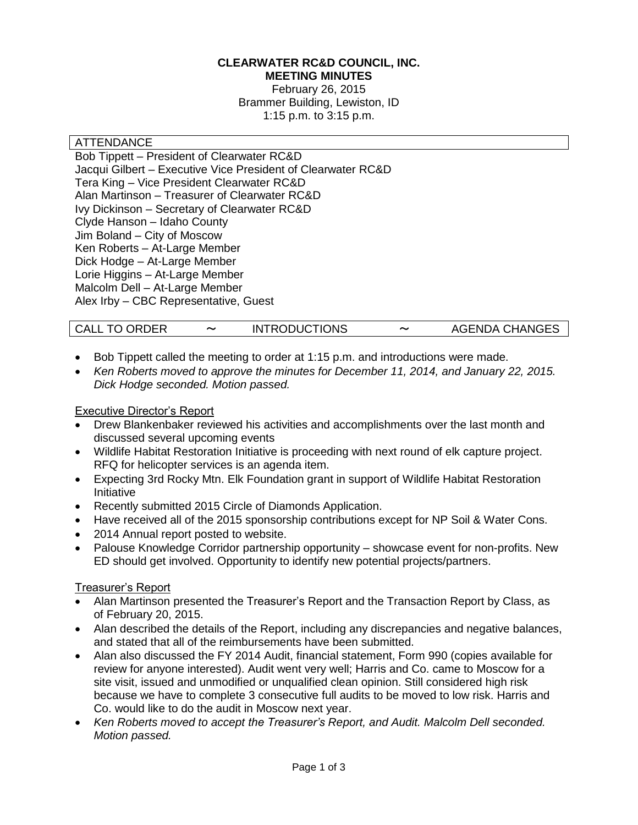#### **CLEARWATER RC&D COUNCIL, INC. MEETING MINUTES**

February 26, 2015 Brammer Building, Lewiston, ID 1:15 p.m. to 3:15 p.m.

#### **ATTENDANCE**

Bob Tippett – President of Clearwater RC&D Jacqui Gilbert – Executive Vice President of Clearwater RC&D Tera King – Vice President Clearwater RC&D Alan Martinson – Treasurer of Clearwater RC&D Ivy Dickinson – Secretary of Clearwater RC&D Clyde Hanson – Idaho County Jim Boland – City of Moscow Ken Roberts – At-Large Member Dick Hodge – At-Large Member Lorie Higgins – At-Large Member Malcolm Dell – At-Large Member Alex Irby – CBC Representative, Guest

- Bob Tippett called the meeting to order at 1:15 p.m. and introductions were made.
- *Ken Roberts moved to approve the minutes for December 11, 2014, and January 22, 2015. Dick Hodge seconded. Motion passed.*

#### Executive Director's Report

- Drew Blankenbaker reviewed his activities and accomplishments over the last month and discussed several upcoming events
- Wildlife Habitat Restoration Initiative is proceeding with next round of elk capture project. RFQ for helicopter services is an agenda item.
- Expecting 3rd Rocky Mtn. Elk Foundation grant in support of Wildlife Habitat Restoration Initiative
- Recently submitted 2015 Circle of Diamonds Application.
- Have received all of the 2015 sponsorship contributions except for NP Soil & Water Cons.
- 2014 Annual report posted to website.
- Palouse Knowledge Corridor partnership opportunity showcase event for non-profits. New ED should get involved. Opportunity to identify new potential projects/partners.

# Treasurer's Report

- Alan Martinson presented the Treasurer's Report and the Transaction Report by Class, as of February 20, 2015.
- Alan described the details of the Report, including any discrepancies and negative balances, and stated that all of the reimbursements have been submitted.
- Alan also discussed the FY 2014 Audit, financial statement, Form 990 (copies available for review for anyone interested). Audit went very well; Harris and Co. came to Moscow for a site visit, issued and unmodified or unqualified clean opinion. Still considered high risk because we have to complete 3 consecutive full audits to be moved to low risk. Harris and Co. would like to do the audit in Moscow next year.
- *Ken Roberts moved to accept the Treasurer's Report, and Audit. Malcolm Dell seconded. Motion passed.*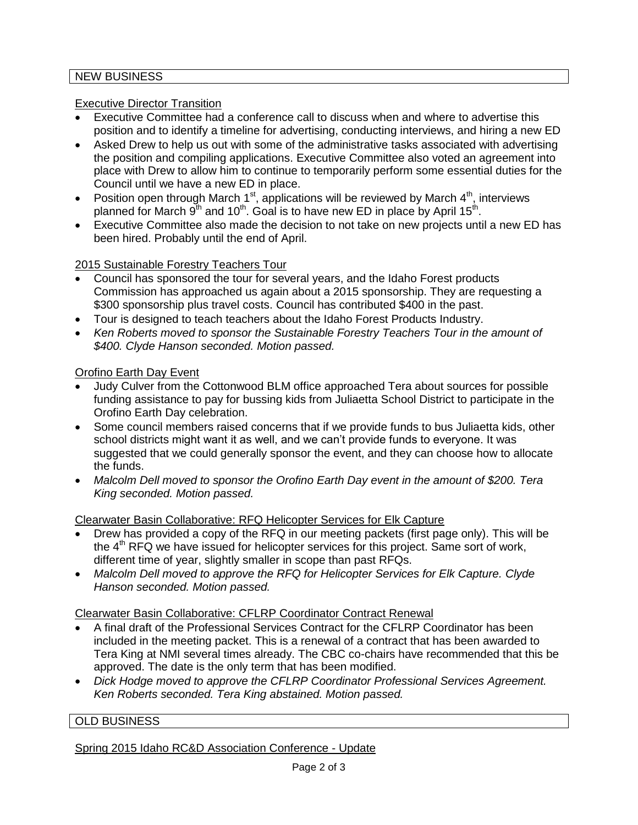# NEW BUSINESS

# Executive Director Transition

- Executive Committee had a conference call to discuss when and where to advertise this position and to identify a timeline for advertising, conducting interviews, and hiring a new ED
- Asked Drew to help us out with some of the administrative tasks associated with advertising the position and compiling applications. Executive Committee also voted an agreement into place with Drew to allow him to continue to temporarily perform some essential duties for the Council until we have a new ED in place.
- Position open through March 1<sup>st</sup>, applications will be reviewed by March  $4<sup>th</sup>$ , interviews planned for March  $9^{th}$  and 10<sup>th</sup>. Goal is to have new ED in place by April 15<sup>th</sup>.
- Executive Committee also made the decision to not take on new projects until a new ED has been hired. Probably until the end of April.

# 2015 Sustainable Forestry Teachers Tour

- Council has sponsored the tour for several years, and the Idaho Forest products Commission has approached us again about a 2015 sponsorship. They are requesting a \$300 sponsorship plus travel costs. Council has contributed \$400 in the past.
- Tour is designed to teach teachers about the Idaho Forest Products Industry.
- Ken Roberts moved to sponsor the Sustainable Forestry Teachers Tour in the amount of *\$400. Clyde Hanson seconded. Motion passed.*

# Orofino Earth Day Event

- Judy Culver from the Cottonwood BLM office approached Tera about sources for possible funding assistance to pay for bussing kids from Juliaetta School District to participate in the Orofino Earth Day celebration.
- Some council members raised concerns that if we provide funds to bus Juliaetta kids, other school districts might want it as well, and we can't provide funds to everyone. It was suggested that we could generally sponsor the event, and they can choose how to allocate the funds.
- *Malcolm Dell moved to sponsor the Orofino Earth Day event in the amount of \$200. Tera King seconded. Motion passed.*

# Clearwater Basin Collaborative: RFQ Helicopter Services for Elk Capture

- Drew has provided a copy of the RFQ in our meeting packets (first page only). This will be the  $4<sup>th</sup>$  RFQ we have issued for helicopter services for this project. Same sort of work, different time of year, slightly smaller in scope than past RFQs.
- *Malcolm Dell moved to approve the RFQ for Helicopter Services for Elk Capture. Clyde Hanson seconded. Motion passed.*

# Clearwater Basin Collaborative: CFLRP Coordinator Contract Renewal

- A final draft of the Professional Services Contract for the CFLRP Coordinator has been included in the meeting packet. This is a renewal of a contract that has been awarded to Tera King at NMI several times already. The CBC co-chairs have recommended that this be approved. The date is the only term that has been modified.
- *Dick Hodge moved to approve the CFLRP Coordinator Professional Services Agreement. Ken Roberts seconded. Tera King abstained. Motion passed.*

# OLD BUSINESS

Spring 2015 Idaho RC&D Association Conference - Update